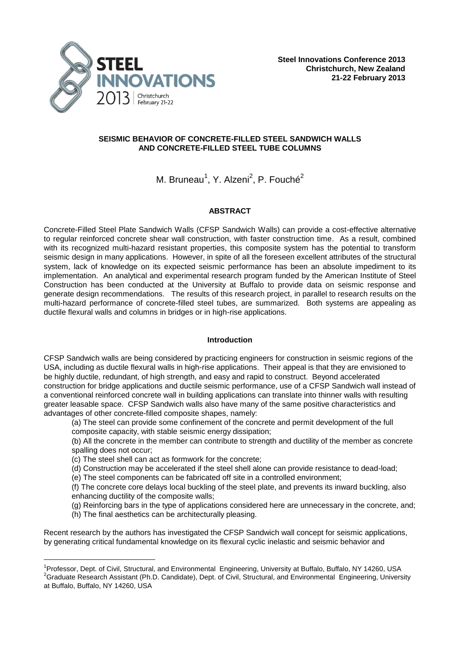

## **SEISMIC BEHAVIOR OF CONCRETE-FILLED STEEL SANDWICH WALLS AND CONCRETE-FILLED STEEL TUBE COLUMNS**

M. Bruneau<sup>1</sup>, Y. Alzeni<sup>2</sup>, P. Fouché<sup>2</sup>

# **ABSTRACT**

Concrete-Filled Steel Plate Sandwich Walls (CFSP Sandwich Walls) can provide a cost-effective alternative to regular reinforced concrete shear wall construction, with faster construction time. As a result, combined with its recognized multi-hazard resistant properties, this composite system has the potential to transform seismic design in many applications. However, in spite of all the foreseen excellent attributes of the structural system, lack of knowledge on its expected seismic performance has been an absolute impediment to its implementation. An analytical and experimental research program funded by the American Institute of Steel Construction has been conducted at the University at Buffalo to provide data on seismic response and generate design recommendations. The results of this research project, in parallel to research results on the multi-hazard performance of concrete-filled steel tubes, are summarized. Both systems are appealing as ductile flexural walls and columns in bridges or in high-rise applications.

## **Introduction**

CFSP Sandwich walls are being considered by practicing engineers for construction in seismic regions of the USA, including as ductile flexural walls in high-rise applications. Their appeal is that they are envisioned to be highly ductile, redundant, of high strength, and easy and rapid to construct. Beyond accelerated construction for bridge applications and ductile seismic performance, use of a CFSP Sandwich wall instead of a conventional reinforced concrete wall in building applications can translate into thinner walls with resulting greater leasable space. CFSP Sandwich walls also have many of the same positive characteristics and advantages of other concrete-filled composite shapes, namely:

(a) The steel can provide some confinement of the concrete and permit development of the full composite capacity, with stable seismic energy dissipation;

(b) All the concrete in the member can contribute to strength and ductility of the member as concrete spalling does not occur;

(c) The steel shell can act as formwork for the concrete;

(d) Construction may be accelerated if the steel shell alone can provide resistance to dead-load;

(e) The steel components can be fabricated off site in a controlled environment;

(f) The concrete core delays local buckling of the steel plate, and prevents its inward buckling, also enhancing ductility of the composite walls;

(g) Reinforcing bars in the type of applications considered here are unnecessary in the concrete, and;

(h) The final aesthetics can be architecturally pleasing.

i<br>L

Recent research by the authors has investigated the CFSP Sandwich wall concept for seismic applications, by generating critical fundamental knowledge on its flexural cyclic inelastic and seismic behavior and

<sup>&</sup>lt;sup>1</sup>Professor, Dept. of Civil, Structural, and Environmental Engineering, University at Buffalo, Buffalo, NY 14260, USA <sup>2</sup>Graduate Research Assistant (Ph.D. Candidate), Dept. of Civil, Structural, and Environmental Engineering, University at Buffalo, Buffalo, NY 14260, USA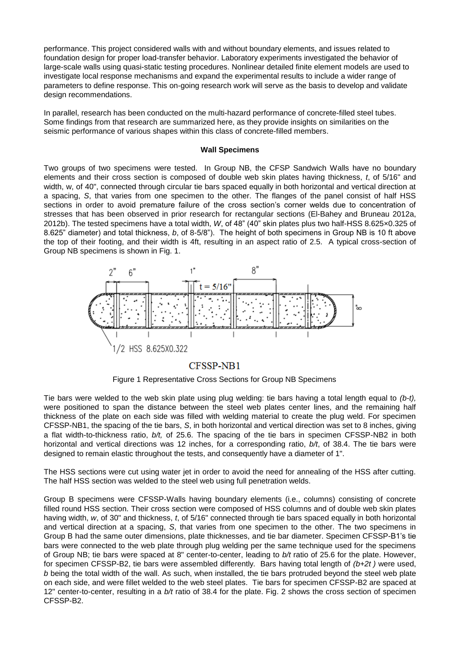performance. This project considered walls with and without boundary elements, and issues related to foundation design for proper load-transfer behavior. Laboratory experiments investigated the behavior of large-scale walls using quasi-static testing procedures. Nonlinear detailed finite element models are used to investigate local response mechanisms and expand the experimental results to include a wider range of parameters to define response. This on-going research work will serve as the basis to develop and validate design recommendations.

In parallel, research has been conducted on the multi-hazard performance of concrete-filled steel tubes. Some findings from that research are summarized here, as they provide insights on similarities on the seismic performance of various shapes within this class of concrete-filled members.

#### **Wall Specimens**

Two groups of two specimens were tested. In Group NB, the CFSP Sandwich Walls have no boundary elements and their cross section is composed of double web skin plates having thickness, *t*, of 5/16" and width, w, of 40", connected through circular tie bars spaced equally in both horizontal and vertical direction at a spacing, *S*, that varies from one specimen to the other. The flanges of the panel consist of half HSS sections in order to avoid premature failure of the cross section's corner welds due to concentration of stresses that has been observed in prior research for rectangular sections (El-Bahey and Bruneau 2012a, 2012b). The tested specimens have a total width, *W*, of 48" (40" skin plates plus two half-HSS 8.625×0.325 of 8.625" diameter) and total thickness, *b*, of 8-5/8"). The height of both specimens in Group NB is 10 ft above the top of their footing, and their width is 4ft, resulting in an aspect ratio of 2.5. A typical cross-section of Group NB specimens is shown in Fig. 1.



## CFSSP-NB1

Figure 1 Representative Cross Sections for Group NB Specimens

Tie bars were welded to the web skin plate using plug welding: tie bars having a total length equal to *(b-t),* were positioned to span the distance between the steel web plates center lines, and the remaining half thickness of the plate on each side was filled with welding material to create the plug weld. For specimen CFSSP-NB1, the spacing of the tie bars, *S*, in both horizontal and vertical direction was set to 8 inches, giving a flat width-to-thickness ratio, *b/t,* of 25.6. The spacing of the tie bars in specimen CFSSP-NB2 in both horizontal and vertical directions was 12 inches, for a corresponding ratio, *b/t*, of 38.4. The tie bars were designed to remain elastic throughout the tests, and consequently have a diameter of 1".

The HSS sections were cut using water jet in order to avoid the need for annealing of the HSS after cutting. The half HSS section was welded to the steel web using full penetration welds.

Group B specimens were CFSSP-Walls having boundary elements (i.e., columns) consisting of concrete filled round HSS section. Their cross section were composed of HSS columns and of double web skin plates having width, *w*, of 30" and thickness, *t*, of 5/16" connected through tie bars spaced equally in both horizontal and vertical direction at a spacing, *S*, that varies from one specimen to the other. The two specimens in Group B had the same outer dimensions, plate thicknesses, and tie bar diameter. Specimen CFSSP-B1's tie bars were connected to the web plate through plug welding per the same technique used for the specimens of Group NB; tie bars were spaced at 8" center-to-center, leading to *b/t* ratio of 25.6 for the plate. However, for specimen CFSSP-B2, tie bars were assembled differently. Bars having total length of *(b+2t )* were used, *b* being the total width of the wall. As such, when installed, the tie bars protruded beyond the steel web plate on each side, and were fillet welded to the web steel plates. Tie bars for specimen CFSSP-B2 are spaced at 12" center-to-center, resulting in a *b/t* ratio of 38.4 for the plate. Fig. 2 shows the cross section of specimen CFSSP-B2.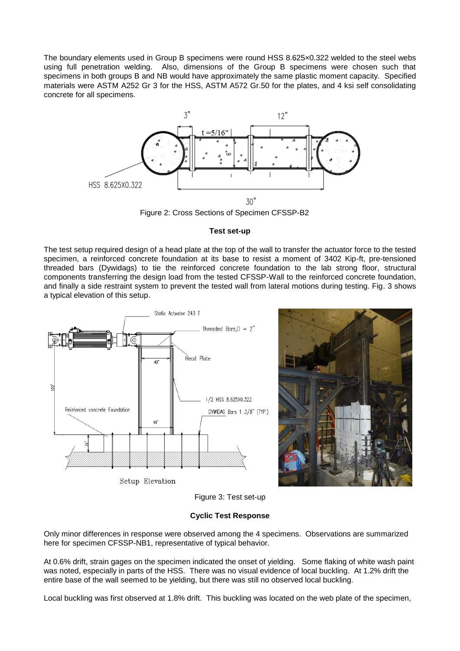The boundary elements used in Group B specimens were round HSS 8.625×0.322 welded to the steel webs using full penetration welding. Also, dimensions of the Group B specimens were chosen such that specimens in both groups B and NB would have approximately the same plastic moment capacity. Specified materials were ASTM A252 Gr 3 for the HSS, ASTM A572 Gr.50 for the plates, and 4 ksi self consolidating concrete for all specimens.



Figure 2: Cross Sections of Specimen CFSSP-B2

## **Test set-up**

The test setup required design of a head plate at the top of the wall to transfer the actuator force to the tested specimen, a reinforced concrete foundation at its base to resist a moment of 3402 Kip-ft, pre-tensioned threaded bars (Dywidags) to tie the reinforced concrete foundation to the lab strong floor, structural components transferring the design load from the tested CFSSP-Wall to the reinforced concrete foundation, and finally a side restraint system to prevent the tested wall from lateral motions during testing. Fig. 3 shows a typical elevation of this setup.





Figure 3: Test set-up

# **Cyclic Test Response**

Only minor differences in response were observed among the 4 specimens. Observations are summarized here for specimen CFSSP-NB1, representative of typical behavior.

At 0.6% drift, strain gages on the specimen indicated the onset of yielding. Some flaking of white wash paint was noted, especially in parts of the HSS. There was no visual evidence of local buckling. At 1.2% drift the entire base of the wall seemed to be yielding, but there was still no observed local buckling.

Local buckling was first observed at 1.8% drift. This buckling was located on the web plate of the specimen,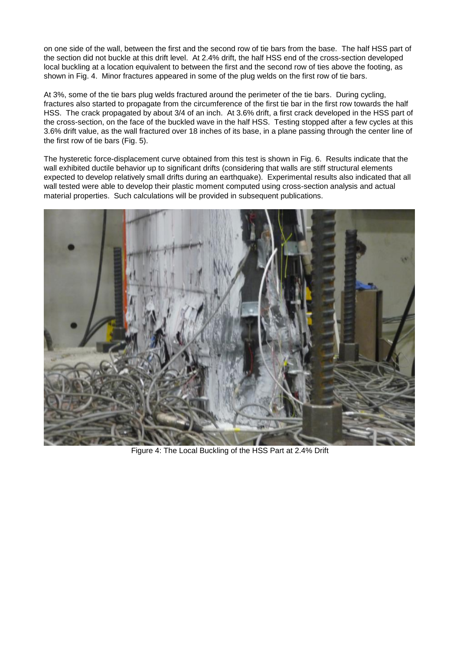on one side of the wall, between the first and the second row of tie bars from the base. The half HSS part of the section did not buckle at this drift level. At 2.4% drift, the half HSS end of the cross-section developed local buckling at a location equivalent to between the first and the second row of ties above the footing, as shown in Fig. 4. Minor fractures appeared in some of the plug welds on the first row of tie bars.

At 3%, some of the tie bars plug welds fractured around the perimeter of the tie bars. During cycling, fractures also started to propagate from the circumference of the first tie bar in the first row towards the half HSS. The crack propagated by about 3/4 of an inch. At 3.6% drift, a first crack developed in the HSS part of the cross-section, on the face of the buckled wave in the half HSS. Testing stopped after a few cycles at this 3.6% drift value, as the wall fractured over 18 inches of its base, in a plane passing through the center line of the first row of tie bars (Fig. 5).

The hysteretic force-displacement curve obtained from this test is shown in Fig. 6. Results indicate that the wall exhibited ductile behavior up to significant drifts (considering that walls are stiff structural elements expected to develop relatively small drifts during an earthquake). Experimental results also indicated that all wall tested were able to develop their plastic moment computed using cross-section analysis and actual material properties. Such calculations will be provided in subsequent publications.



Figure 4: The Local Buckling of the HSS Part at 2.4% Drift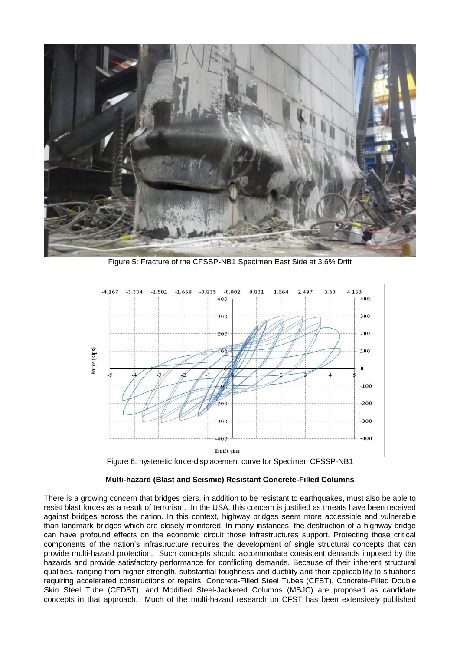

Figure 5: Fracture of the CFSSP-NB1 Specimen East Side at 3.6% Drift



```
Figure 6: hysteretic force-displacement curve for Specimen CFSSP-NB1
```
## **Multi-hazard (Blast and Seismic) Resistant Concrete-Filled Columns**

There is a growing concern that bridges piers, in addition to be resistant to earthquakes, must also be able to resist blast forces as a result of terrorism. In the USA, this concern is justified as threats have been received against bridges across the nation. In this context, highway bridges seem more accessible and vulnerable than landmark bridges which are closely monitored. In many instances, the destruction of a highway bridge can have profound effects on the economic circuit those infrastructures support. Protecting those critical components of the nation's infrastructure requires the development of single structural concepts that can provide multi-hazard protection. Such concepts should accommodate consistent demands imposed by the hazards and provide satisfactory performance for conflicting demands. Because of their inherent structural qualities, ranging from higher strength, substantial toughness and ductility and their applicability to situations requiring accelerated constructions or repairs, Concrete-Filled Steel Tubes (CFST), Concrete-Filled Double Skin Steel Tube (CFDST), and Modified Steel-Jacketed Columns (MSJC) are proposed as candidate concepts in that approach. Much of the multi-hazard research on CFST has been extensively published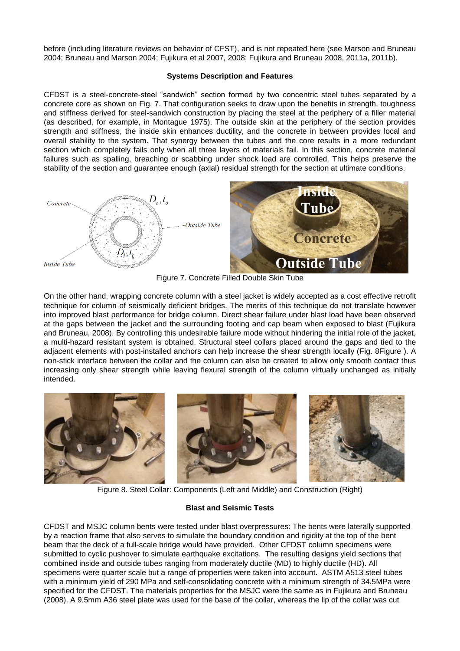before (including literature reviews on behavior of CFST), and is not repeated here (see Marson and Bruneau 2004; Bruneau and Marson 2004; Fujikura et al 2007, 2008; Fujikura and Bruneau 2008, 2011a, 2011b).

#### **Systems Description and Features**

CFDST is a steel-concrete-steel "sandwich" section formed by two concentric steel tubes separated by a concrete core as shown on Fig. 7. That configuration seeks to draw upon the benefits in strength, toughness and stiffness derived for steel-sandwich construction by placing the steel at the periphery of a filler material (as described, for example, in Montague 1975). The outside skin at the periphery of the section provides strength and stiffness, the inside skin enhances ductility, and the concrete in between provides local and overall stability to the system. That synergy between the tubes and the core results in a more redundant section which completely fails only when all three layers of materials fail. In this section, concrete material failures such as spalling, breaching or scabbing under shock load are controlled. This helps preserve the stability of the section and guarantee enough (axial) residual strength for the section at ultimate conditions.



Figure 7. Concrete Filled Double Skin Tube

On the other hand, wrapping concrete column with a steel jacket is widely accepted as a cost effective retrofit technique for column of seismically deficient bridges. The merits of this technique do not translate however into improved blast performance for bridge column. Direct shear failure under blast load have been observed at the gaps between the jacket and the surrounding footing and cap beam when exposed to blast (Fujikura and Bruneau, 2008). By controlling this undesirable failure mode without hindering the initial role of the jacket, a multi-hazard resistant system is obtained. Structural steel collars placed around the gaps and tied to the adjacent elements with post-installed anchors can help increase the shear strength locally (Fig. [8Figure \)](#page-5-0). A non-stick interface between the collar and the column can also be created to allow only smooth contact thus increasing only shear strength while leaving flexural strength of the column virtually unchanged as initially intended.



Figure 8. Steel Collar: Components (Left and Middle) and Construction (Right)

## **Blast and Seismic Tests**

<span id="page-5-0"></span>CFDST and MSJC column bents were tested under blast overpressures: The bents were laterally supported by a reaction frame that also serves to simulate the boundary condition and rigidity at the top of the bent beam that the deck of a full-scale bridge would have provided. Other CFDST column specimens were submitted to cyclic pushover to simulate earthquake excitations. The resulting designs yield sections that combined inside and outside tubes ranging from moderately ductile (MD) to highly ductile (HD). All specimens were quarter scale but a range of properties were taken into account. ASTM A513 steel tubes with a minimum yield of 290 MPa and self-consolidating concrete with a minimum strength of 34.5MPa were specified for the CFDST. The materials properties for the MSJC were the same as in Fujikura and Bruneau (2008). A 9.5mm A36 steel plate was used for the base of the collar, whereas the lip of the collar was cut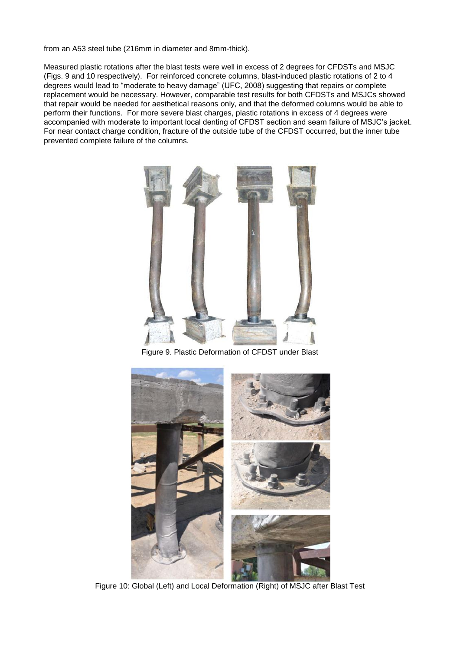from an A53 steel tube (216mm in diameter and 8mm-thick).

Measured plastic rotations after the blast tests were well in excess of 2 degrees for CFDSTs and MSJC (Figs. 9 and 10 respectively). For reinforced concrete columns, blast-induced plastic rotations of 2 to 4 degrees would lead to "moderate to heavy damage" (UFC, 2008) suggesting that repairs or complete replacement would be necessary. However, comparable test results for both CFDSTs and MSJCs showed that repair would be needed for aesthetical reasons only, and that the deformed columns would be able to perform their functions. For more severe blast charges, plastic rotations in excess of 4 degrees were accompanied with moderate to important local denting of CFDST section and seam failure of MSJC's jacket. For near contact charge condition, fracture of the outside tube of the CFDST occurred, but the inner tube prevented complete failure of the columns.



Figure 9. Plastic Deformation of CFDST under Blast



Figure 10: Global (Left) and Local Deformation (Right) of MSJC after Blast Test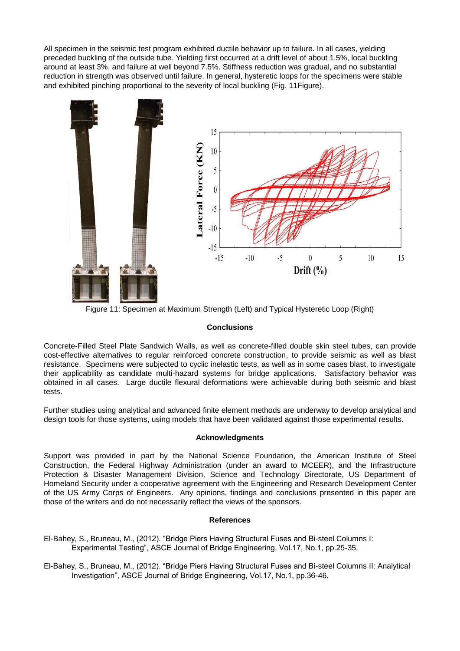All specimen in the seismic test program exhibited ductile behavior up to failure. In all cases, yielding preceded buckling of the outside tube. Yielding first occurred at a drift level of about 1.5%, local buckling around at least 3%, and failure at well beyond 7.5%. Stiffness reduction was gradual, and no substantial reduction in strength was observed until failure. In general, hysteretic loops for the specimens were stable and exhibited pinching proportional to the severity of local buckling (Fig. 1[1Figure\)](#page-7-0).



Figure 11: Specimen at Maximum Strength (Left) and Typical Hysteretic Loop (Right)

#### **Conclusions**

<span id="page-7-0"></span>Concrete-Filled Steel Plate Sandwich Walls, as well as concrete-filled double skin steel tubes, can provide cost-effective alternatives to regular reinforced concrete construction, to provide seismic as well as blast resistance. Specimens were subjected to cyclic inelastic tests, as well as in some cases blast, to investigate their applicability as candidate multi-hazard systems for bridge applications. Satisfactory behavior was obtained in all cases. Large ductile flexural deformations were achievable during both seismic and blast tests.

Further studies using analytical and advanced finite element methods are underway to develop analytical and design tools for those systems, using models that have been validated against those experimental results.

#### **Acknowledgments**

Support was provided in part by the National Science Foundation, the American Institute of Steel Construction, the Federal Highway Administration (under an award to MCEER), and the Infrastructure Protection & Disaster Management Division, Science and Technology Directorate, US Department of Homeland Security under a cooperative agreement with the Engineering and Research Development Center of the US Army Corps of Engineers. Any opinions, findings and conclusions presented in this paper are those of the writers and do not necessarily reflect the views of the sponsors.

#### **References**

- El-Bahey, S., Bruneau, M., (2012). "Bridge Piers Having Structural Fuses and Bi-steel Columns I: Experimental Testing", ASCE Journal of Bridge Engineering, Vol.17, No.1, pp.25-35.
- El-Bahey, S., Bruneau, M., (2012). "Bridge Piers Having Structural Fuses and Bi-steel Columns II: Analytical Investigation", ASCE Journal of Bridge Engineering, Vol.17, No.1, pp.36-46.